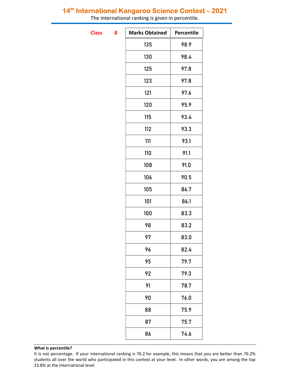## 14<sup>th</sup> International Kangaroo Science Contest - 2021

The international ranking is given in percentile.

**Class** 

| <b>Marks Obtained</b> | Percentile |
|-----------------------|------------|
| 135                   | 98.9       |
| 130                   | 98.4       |
| 125                   | 97.8       |
| 123                   | 97.8       |
| 121                   | 97.6       |
| 120                   | 95.9       |
| 115                   | 93.4       |
| 112                   | 93.3       |
| 111                   | 93.1       |
| 110                   | 91.1       |
| 108                   | 91.0       |
| 106                   | 90.5       |
| 105                   | 86.7       |
| 101                   | 86.1       |
| 100                   | 83.3       |
| 98                    | 83.2       |
| 97                    | 83.0       |
| 96                    | 82.4       |
| 95                    | 79.7       |
| 92                    | 79.3       |
| 91                    | 78.7       |
| 90                    | 76.0       |
| 88                    | 75.9       |
| 87                    | 75.7       |
| 86                    | 74.6       |
|                       |            |

### What is percentile?

It is not percentage. If your international ranking is 76.2 for example, this means that you are better than 76.2% students all over the world who participated in this contest at your level. In other words, you are among the top 23.8% at the international level.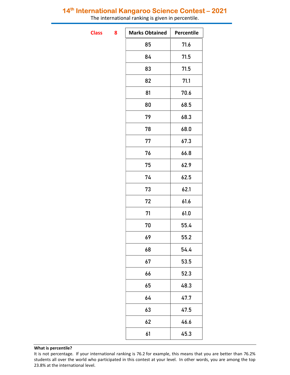## 14<sup>th</sup> International Kangaroo Science Contest - 2021

The international ranking is given in percentile.

**Class** 

| 8 | <b>Marks Obtained</b> | Percentile |
|---|-----------------------|------------|
|   | 85                    | 71.6       |
|   | 84                    | 71.5       |
|   | 83                    | 71.5       |
|   | 82                    | 71.1       |
|   | 81                    | 70.6       |
|   | 80                    | 68.5       |
|   | 79                    | 68.3       |
|   | 78                    | 68.0       |
|   | 77                    | 67.3       |
|   | 76                    | 66.8       |
|   | 75                    | 62.9       |
|   | 74                    | 62.5       |
|   | 73                    | 62.1       |
|   | 72                    | 61.6       |
|   | 71                    | 61.0       |
|   | 70                    | 55.4       |
|   | 69                    | 55.2       |
|   | 68                    | 54.4       |
|   | 67                    | 53.5       |
|   | 66                    | 52.3       |
|   | 65                    | 48.3       |
|   | 64                    | 47.7       |
|   | 63                    | 47.5       |
|   | 62                    | 46.6       |
|   | 61                    | 45.3       |

### What is percentile?

It is not percentage. If your international ranking is 76.2 for example, this means that you are better than 76.2% students all over the world who participated in this contest at your level. In other words, you are among the top 23.8% at the international level.